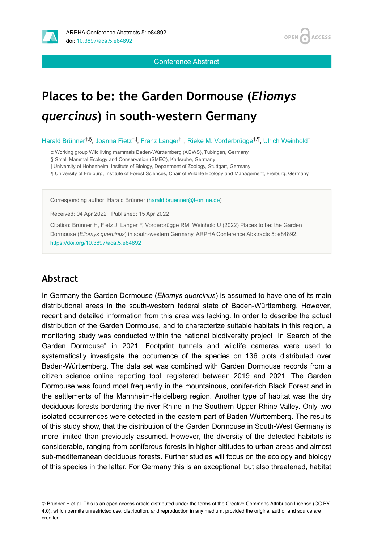

**ACCESS OPEN** 

Conference Abstract

# **Places to be: the Garden Dormouse (***Eliomys quercinus***) in south-western Germany**

Harald Brünner<sup>‡,§</sup>, Joanna Fietz<sup>‡, I</sup>, Franz Langer<sup>‡, I</sup>, Rieke M. Vorderbrügge<sup>‡,¶</sup>, Ulrich Weinhold<sup>‡</sup>

‡ Working group Wild living mammals Baden-Württemberg (AGWS), Tübingen, Germany

§ Small Mammal Ecology and Conservation (SMEC), Karlsruhe, Germany

| University of Hohenheim, Institute of Biology, Department of Zoology, Stuttgart, Germany

¶ University of Freiburg, Institute of Forest Sciences, Chair of Wildlife Ecology and Management, Freiburg, Germany

Corresponding author: Harald Brünner [\(harald.bruenner@t-online.de](mailto:harald.bruenner@t-online.de))

Received: 04 Apr 2022 | Published: 15 Apr 2022

Citation: Brünner H, Fietz J, Langer F, Vorderbrügge RM, Weinhold U (2022) Places to be: the Garden Dormouse (*Eliomys quercinus*) in south-western Germany. ARPHA Conference Abstracts 5: e84892. <https://doi.org/10.3897/aca.5.e84892>

#### **Abstract**

In Germany the Garden Dormouse (*Eliomys quercinus*) is assumed to have one of its main distributional areas in the south-western federal state of Baden-Württemberg. However, recent and detailed information from this area was lacking. In order to describe the actual distribution of the Garden Dormouse, and to characterize suitable habitats in this region, a monitoring study was conducted within the national biodiversity project "In Search of the Garden Dormouse" in 2021. Footprint tunnels and wildlife cameras were used to systematically investigate the occurrence of the species on 136 plots distributed over Baden-Württemberg. The data set was combined with Garden Dormouse records from a citizen science online reporting tool, registered between 2019 and 2021. The Garden Dormouse was found most frequently in the mountainous, conifer-rich Black Forest and in the settlements of the Mannheim-Heidelberg region. Another type of habitat was the dry deciduous forests bordering the river Rhine in the Southern Upper Rhine Valley. Only two isolated occurrences were detected in the eastern part of Baden-Württemberg. The results of this study show, that the distribution of the Garden Dormouse in South-West Germany is more limited than previously assumed. However, the diversity of the detected habitats is considerable, ranging from coniferous forests in higher altitudes to urban areas and almost sub-mediterranean deciduous forests. Further studies will focus on the ecology and biology of this species in the latter. For Germany this is an exceptional, but also threatened, habitat

© Brünner H et al. This is an open access article distributed under the terms of the Creative Commons Attribution License (CC BY 4.0), which permits unrestricted use, distribution, and reproduction in any medium, provided the original author and source are credited.